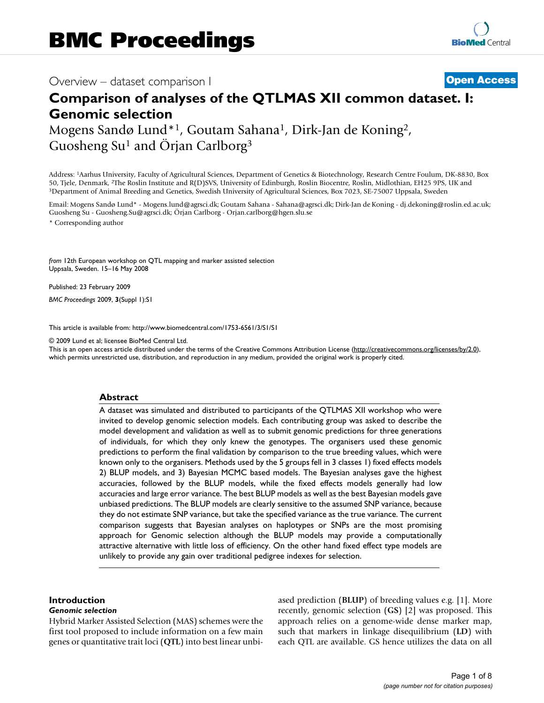# Overview – dataset comparison I **[Open Access](http://www.biomedcentral.com/info/about/charter/)**

# **Comparison of analyses of the QTLMAS XII common dataset. I: Genomic selection**

Mogens Sandø Lund\*1, Goutam Sahana1, Dirk-Jan de Koning2, Guosheng Su<sup>1</sup> and Örjan Carlborg<sup>3</sup>

Address: 1Aarhus University, Faculty of Agricultural Sciences, Department of Genetics & Biotechnology, Research Centre Foulum, DK-8830, Box 50, Tjele, Denmark, <sup>2</sup>The Roslin Institute and R(D)SVS, University of Edinburgh, Roslin Biocentre, Roslin, Midlothian, EH25 9PS, UK and<br><sup>3</sup>Department of Animal Breeding and Genetics, Swedish University of Agricultural Sci

Email: Mogens Sandø Lund\* - Mogens.lund@agrsci.dk; Goutam Sahana - Sahana@agrsci.dk; Dirk-Jan de Koning - dj.dekoning@roslin.ed.ac.uk; Guosheng Su - Guosheng.Su@agrsci.dk; Örjan Carlborg - Orjan.carlborg@hgen.slu.se

\* Corresponding author

*from* 12th European workshop on QTL mapping and marker assisted selection Uppsala, Sweden. 15–16 May 2008

Published: 23 February 2009 *BMC Proceedings* 2009, **3**(Suppl 1):S1

[This article is available from: http://www.biomedcentral.com/1753-6561/3/S1/S1](http://www.biomedcentral.com/1753-6561/3/S1/S1)

© 2009 Lund et al; licensee BioMed Central Ltd.

This is an open access article distributed under the terms of the Creative Commons Attribution License [\(http://creativecommons.org/licenses/by/2.0\)](http://creativecommons.org/licenses/by/2.0), which permits unrestricted use, distribution, and reproduction in any medium, provided the original work is properly cited.

# **Abstract**

A dataset was simulated and distributed to participants of the QTLMAS XII workshop who were invited to develop genomic selection models. Each contributing group was asked to describe the model development and validation as well as to submit genomic predictions for three generations of individuals, for which they only knew the genotypes. The organisers used these genomic predictions to perform the final validation by comparison to the true breeding values, which were known only to the organisers. Methods used by the 5 groups fell in 3 classes 1) fixed effects models 2) BLUP models, and 3) Bayesian MCMC based models. The Bayesian analyses gave the highest accuracies, followed by the BLUP models, while the fixed effects models generally had low accuracies and large error variance. The best BLUP models as well as the best Bayesian models gave unbiased predictions. The BLUP models are clearly sensitive to the assumed SNP variance, because they do not estimate SNP variance, but take the specified variance as the true variance. The current comparison suggests that Bayesian analyses on haplotypes or SNPs are the most promising approach for Genomic selection although the BLUP models may provide a computationally attractive alternative with little loss of efficiency. On the other hand fixed effect type models are unlikely to provide any gain over traditional pedigree indexes for selection.

# **Introduction**

## *Genomic selection*

Hybrid Marker Assisted Selection (MAS) schemes were the first tool proposed to include information on a few main genes or quantitative trait loci (**QTL**) into best linear unbiased prediction (**BLUP**) of breeding values e.g. [1]. More recently, genomic selection (**GS**) [2] was proposed. This approach relies on a genome-wide dense marker map, such that markers in linkage disequilibrium (**LD**) with each QTL are available. GS hence utilizes the data on all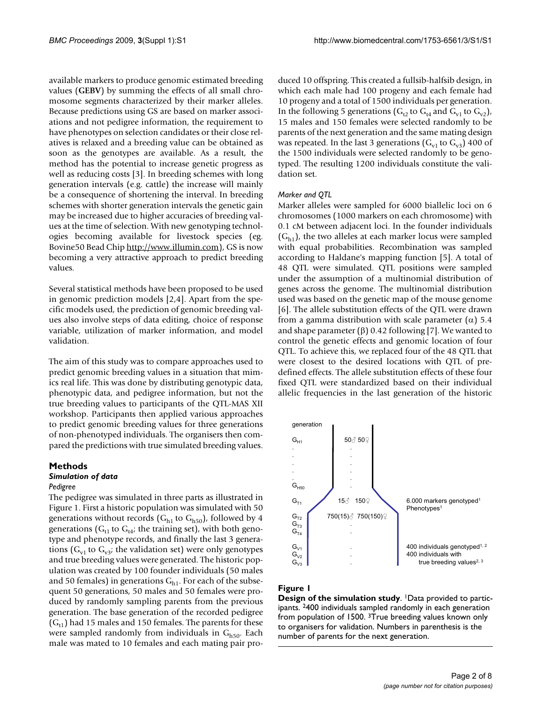available markers to produce genomic estimated breeding values (**GEBV**) by summing the effects of all small chromosome segments characterized by their marker alleles. Because predictions using GS are based on marker associations and not pedigree information, the requirement to have phenotypes on selection candidates or their close relatives is relaxed and a breeding value can be obtained as soon as the genotypes are available. As a result, the method has the potential to increase genetic progress as well as reducing costs [3]. In breeding schemes with long generation intervals (e.g. cattle) the increase will mainly be a consequence of shortening the interval. In breeding schemes with shorter generation intervals the genetic gain may be increased due to higher accuracies of breeding values at the time of selection. With new genotyping technologies becoming available for livestock species (eg. Bovine50 Bead Chip<http://www.illumin.com>), GS is now becoming a very attractive approach to predict breeding values.

Several statistical methods have been proposed to be used in genomic prediction models [2,4]. Apart from the specific models used, the prediction of genomic breeding values also involve steps of data editing, choice of response variable, utilization of marker information, and model validation.

The aim of this study was to compare approaches used to predict genomic breeding values in a situation that mimics real life. This was done by distributing genotypic data, phenotypic data, and pedigree information, but not the true breeding values to participants of the QTL-MAS XII workshop. Participants then applied various approaches to predict genomic breeding values for three generations of non-phenotyped individuals. The organisers then compared the predictions with true simulated breeding values.

#### **Methods**

# *Simulation of data*

#### *Pedigree*

The pedigree was simulated in three parts as illustrated in Figure 1. First a historic population was simulated with 50 generations without records  $(G<sub>h1</sub>$  to  $G<sub>h50</sub>)$ , followed by 4 generations ( $G_{t1}$  to  $G_{t4}$ ; the training set), with both genotype and phenotype records, and finally the last 3 generations ( $G_{v1}$  to  $G_{v3}$ ; the validation set) were only genotypes and true breeding values were generated. The historic population was created by 100 founder individuals (50 males and 50 females) in generations  $G_{h1}$ . For each of the subsequent 50 generations, 50 males and 50 females were produced by randomly sampling parents from the previous generation. The base generation of the recorded pedigree  $(G<sub>t1</sub>)$  had 15 males and 150 females. The parents for these were sampled randomly from individuals in  $G_{h50}$ . Each male was mated to 10 females and each mating pair produced 10 offspring. This created a fullsib-halfsib design, in which each male had 100 progeny and each female had 10 progeny and a total of 1500 individuals per generation. In the following 5 generations ( $G_t$ <sub>2</sub> to  $G_{t4}$  and  $G_{v1}$  to  $G_{v2}$ ), 15 males and 150 females were selected randomly to be parents of the next generation and the same mating design was repeated. In the last 3 generations  $(G_{v1}$  to  $G_{v3})$  400 of the 1500 individuals were selected randomly to be genotyped. The resulting 1200 individuals constitute the validation set.

#### *Marker and QTL*

Marker alleles were sampled for 6000 biallelic loci on 6 chromosomes (1000 markers on each chromosome) with 0.1 cM between adjacent loci. In the founder individuals  $(G<sub>h1</sub>)$ , the two alleles at each marker locus were sampled with equal probabilities. Recombination was sampled according to Haldane's mapping function [5]. A total of 48 QTL were simulated. QTL positions were sampled under the assumption of a multinomial distribution of genes across the genome. The multinomial distribution used was based on the genetic map of the mouse genome [6]. The allele substitution effects of the QTL were drawn from a gamma distribution with scale parameter ( $\alpha$ ) 5.4 and shape parameter  $(\beta)$  0.42 following [7]. We wanted to control the genetic effects and genomic location of four QTL. To achieve this, we replaced four of the 48 QTL that were closest to the desired locations with QTL of predefined effects. The allele substitution effects of these four fixed QTL were standardized based on their individual allelic frequencies in the last generation of the historic



# **Figure 1**

**Design of the simulation study**. <sup>1</sup>Data provided to participants. 2400 individuals sampled randomly in each generation from population of 1500. 3True breeding values known only to organisers for validation. Numbers in parenthesis is the number of parents for the next generation.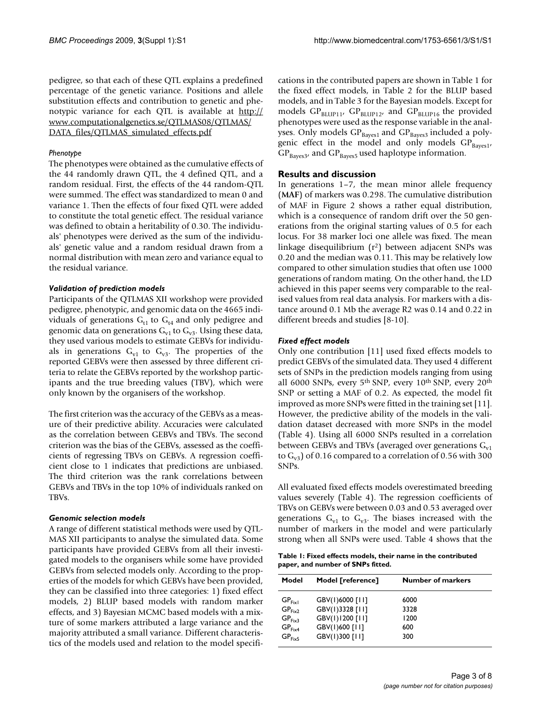pedigree, so that each of these QTL explains a predefined percentage of the genetic variance. Positions and allele substitution effects and contribution to genetic and phenotypic variance for each QTL is available at [http://](http://www.computationalgenetics.se/QTLMAS08/QTLMAS/DATA_files/QTLMAS_simulated_effects.pdf) [www.computationalgenetics.se/QTLMAS08/QTLMAS/](http://www.computationalgenetics.se/QTLMAS08/QTLMAS/DATA_files/QTLMAS_simulated_effects.pdf) [DATA\\_files/QTLMAS\\_simulated\\_effects.pdf](http://www.computationalgenetics.se/QTLMAS08/QTLMAS/DATA_files/QTLMAS_simulated_effects.pdf)

# *Phenotype*

The phenotypes were obtained as the cumulative effects of the 44 randomly drawn QTL, the 4 defined QTL, and a random residual. First, the effects of the 44 random-QTL were summed. The effect was standardized to mean 0 and variance 1. Then the effects of four fixed QTL were added to constitute the total genetic effect. The residual variance was defined to obtain a heritability of 0.30. The individuals' phenotypes were derived as the sum of the individuals' genetic value and a random residual drawn from a normal distribution with mean zero and variance equal to the residual variance.

# *Validation of prediction models*

Participants of the QTLMAS XII workshop were provided pedigree, phenotypic, and genomic data on the 4665 individuals of generations  $G_{t1}$  to  $G_{t4}$  and only pedigree and genomic data on generations  $G_{v1}$  to  $G_{v3}$ . Using these data, they used various models to estimate GEBVs for individuals in generations  $G_{v1}$  to  $G_{v3}$ . The properties of the reported GEBVs were then assessed by three different criteria to relate the GEBVs reported by the workshop participants and the true breeding values (TBV), which were only known by the organisers of the workshop.

The first criterion was the accuracy of the GEBVs as a measure of their predictive ability. Accuracies were calculated as the correlation between GEBVs and TBVs. The second criterion was the bias of the GEBVs, assessed as the coefficients of regressing TBVs on GEBVs. A regression coefficient close to 1 indicates that predictions are unbiased. The third criterion was the rank correlations between GEBVs and TBVs in the top 10% of individuals ranked on TBVs.

# *Genomic selection models*

A range of different statistical methods were used by QTL-MAS XII participants to analyse the simulated data. Some participants have provided GEBVs from all their investigated models to the organisers while some have provided GEBVs from selected models only. According to the properties of the models for which GEBVs have been provided, they can be classified into three categories: 1) fixed effect models, 2) BLUP based models with random marker effects, and 3) Bayesian MCMC based models with a mixture of some markers attributed a large variance and the majority attributed a small variance. Different characteristics of the models used and relation to the model specifications in the contributed papers are shown in Table 1 for the fixed effect models, in Table 2 for the BLUP based models, and in Table 3 for the Bayesian models. Except for models  $GP_{BLUP11}$ ,  $GP_{BLUP12}$ , and  $GP_{BLUP16}$  the provided phenotypes were used as the response variable in the analyses. Only models GP<sub>Bayes1</sub> and GP<sub>Bayes3</sub> included a polygenic effect in the model and only models  $GP_{Bayes1}$ ,  $GP_{\text{Bayes3}}$ , and  $GP_{\text{Bayes5}}$  used haplotype information.

# **Results and discussion**

In generations 1–7, the mean minor allele frequency (**MAF**) of markers was 0.298. The cumulative distribution of MAF in Figure 2 shows a rather equal distribution, which is a consequence of random drift over the 50 generations from the original starting values of 0.5 for each locus. For 38 marker loci one allele was fixed. The mean linkage disequilibrium (r2) between adjacent SNPs was 0.20 and the median was 0.11. This may be relatively low compared to other simulation studies that often use 1000 generations of random mating. On the other hand, the LD achieved in this paper seems very comparable to the realised values from real data analysis. For markers with a distance around 0.1 Mb the average R2 was 0.14 and 0.22 in different breeds and studies [8-10].

# *Fixed effect models*

Only one contribution [11] used fixed effects models to predict GEBVs of the simulated data. They used 4 different sets of SNPs in the prediction models ranging from using all 6000 SNPs, every 5th SNP, every 10th SNP, every 20th SNP or setting a MAF of 0.2. As expected, the model fit improved as more SNPs were fitted in the training set [11]. However, the predictive ability of the models in the validation dataset decreased with more SNPs in the model (Table 4). Using all 6000 SNPs resulted in a correlation between GEBVs and TBVs (averaged over generations  $G<sub>v1</sub>$ to  $G_{v3}$ ) of 0.16 compared to a correlation of 0.56 with 300 SNPs.

All evaluated fixed effects models overestimated breeding values severely (Table 4). The regression coefficients of TBVs on GEBVs were between 0.03 and 0.53 averaged over generations  $G_{v1}$  to  $G_{v3}$ . The biases increased with the number of markers in the model and were particularly strong when all SNPs were used. Table 4 shows that the

**Table 1: Fixed effects models, their name in the contributed paper, and number of SNPs fitted.**

| Model                                                          | Model [reference]                                     | <b>Number of markers</b> |
|----------------------------------------------------------------|-------------------------------------------------------|--------------------------|
| GP <sub>Fix1</sub><br>GP <sub>Fix2</sub>                       | GBV(1)6000 [11]<br>GBV(1)3328 [11]<br>GBV(1)1200 [11] | 6000<br>3328<br>1200     |
| GP <sub>Fix3</sub><br>GP <sub>Fix4</sub><br>GP <sub>Fix5</sub> | GBV(1)600 [11]<br>GBV(1)300 [11]                      | 600<br>300               |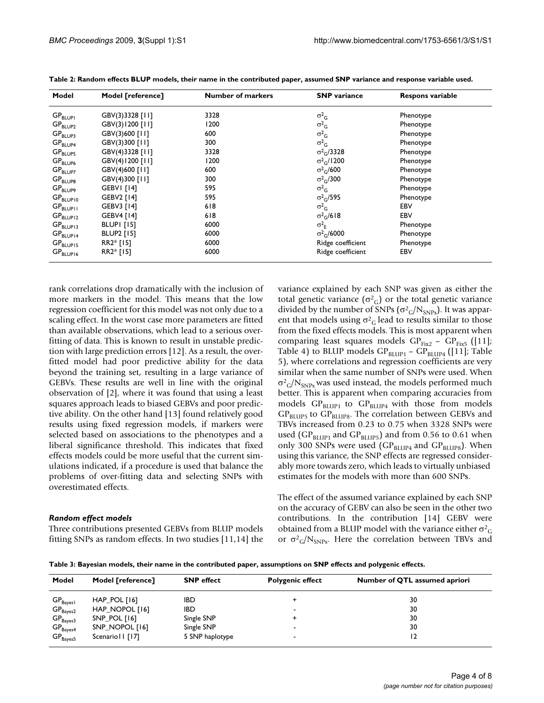| Model                           | Model [reference] | <b>Number of markers</b> | <b>SNP</b> variance           | <b>Respons variable</b> |
|---------------------------------|-------------------|--------------------------|-------------------------------|-------------------------|
| $\mathsf{GP}_{\mathsf{BLUPI}}$  | GBV(3)3328 [11]   | 3328                     | $\sigma^2$                    | Phenotype               |
| $\mathsf{GP}_{\mathsf{BLUP2}}$  | GBV(3)1200 [11]   | 1200                     | $\sigma^2$ <sub>G</sub>       | Phenotype               |
| $\text{GP}_{\text{BLUP3}}$      | GBV(3)600 [11]    | 600                      | $\sigma^2$                    | Phenotype               |
| $\mathsf{GP}_{\mathsf{BLUP4}}$  | GBV(3)300 [11]    | 300                      | $\sigma^2$ <sub>G</sub>       | Phenotype               |
| $\text{GP}_{\text{BLUP5}}$      | GBV(4)3328 [11]   | 3328                     | $\sigma^2$ <sub>G</sub> /3328 | Phenotype               |
| $\text{GP}_{\text{BLUP6}}$      | GBV(4)1200 [11]   | 1200                     | $\sigma^2$ <sub>G</sub> /1200 | Phenotype               |
| $\mathsf{GP}_{\mathsf{BLUP7}}$  | GBV(4)600 [11]    | 600                      | $\sigma^2$ <sub>G</sub> /600  | Phenotype               |
| $\text{GP}_{\text{BLUP8}}$      | GBV(4)300 [11]    | 300                      | $\sigma^2$ <sub>G</sub> /300  | Phenotype               |
| $\mathsf{GP}_{\mathsf{BLUP9}}$  | GEBVI [14]        | 595                      | $\sigma^2$                    | Phenotype               |
| $\mathsf{GP}_{\mathsf{BLUP10}}$ | GEBV2 [14]        | 595                      | $\sigma^2$ <sub>G</sub> /595  | Phenotype               |
| $\mathsf{GP}_{\mathsf{BLUPII}}$ | GEBV3 [14]        | 618                      | $\sigma^2$ <sub>G</sub>       | EBV                     |
| $GP$ <sub>BLUP12</sub>          | GEBV4 [14]        | 618                      | $\sigma^2$ <sub>G</sub> /618  | EBV                     |
| $GP_{BLUP13}$                   | BLUPI[15]         | 6000                     | $\sigma^2$                    | Phenotype               |
| $\mathsf{GP}_{\mathsf{BLUP14}}$ | <b>BLUP2</b> [15] | 6000                     | $\sigma^2$ <sub>C</sub> /6000 | Phenotype               |
| $GP_{BLUP15}$                   | RR2* [15]         | 6000                     | Ridge coefficient             | Phenotype               |
| $GP_{BLUP16}$                   | RR2* [15]         | 6000                     | Ridge coefficient             | EBV                     |

**Table 2: Random effects BLUP models, their name in the contributed paper, assumed SNP variance and response variable used.**

rank correlations drop dramatically with the inclusion of more markers in the model. This means that the low regression coefficient for this model was not only due to a scaling effect. In the worst case more parameters are fitted than available observations, which lead to a serious overfitting of data. This is known to result in unstable prediction with large prediction errors [12]. As a result, the overfitted model had poor predictive ability for the data beyond the training set, resulting in a large variance of GEBVs. These results are well in line with the original observation of [2], where it was found that using a least squares approach leads to biased GEBVs and poor predictive ability. On the other hand [13] found relatively good results using fixed regression models, if markers were selected based on associations to the phenotypes and a liberal significance threshold. This indicates that fixed effects models could be more useful that the current simulations indicated, if a procedure is used that balance the problems of over-fitting data and selecting SNPs with overestimated effects.

# *Random effect models*

Three contributions presented GEBVs from BLUP models fitting SNPs as random effects. In two studies [11,14] the variance explained by each SNP was given as either the total genetic variance  $(\sigma^2_G)$  or the total genetic variance divided by the number of SNPs ( $\sigma^2$ <sub>G</sub>/N<sub>SNPs</sub>). It was apparent that models using  $\sigma^2$ <sub>G</sub> lead to results similar to those from the fixed effects models. This is most apparent when comparing least squares models  $GP<sub>Fix2</sub> - GP<sub>Fix5</sub>$  ([11]; Table 4) to BLUP models  $GP_{BLUP1} - GP_{BLUP4}$  ([11]; Table 5), where correlations and regression coefficients are very similar when the same number of SNPs were used. When  $\sigma^2$ <sub>G</sub>/N<sub>SNPs</sub> was used instead, the models performed much better. This is apparent when comparing accuracies from models  $GP_{BLUP1}$  to  $GP_{BLUP4}$  with those from models  $GP_{\text{BLUP5}}$  to  $GP_{\text{BLUP8}}$ . The correlation between GEBVs and TBVs increased from 0.23 to 0.75 when 3328 SNPs were used ( $GP_{BLUP1}$  and  $GP_{BLUP5}$ ) and from 0.56 to 0.61 when only 300 SNPs were used ( $GP_{\text{BLIP4}}$  and  $GP_{\text{BLIP8}}$ ). When using this variance, the SNP effects are regressed considerably more towards zero, which leads to virtually unbiased estimates for the models with more than 600 SNPs.

The effect of the assumed variance explained by each SNP on the accuracy of GEBV can also be seen in the other two contributions. In the contribution [14] GEBV were obtained from a BLUP model with the variance either  $\sigma^2$ <sub>G</sub> or  $\sigma^2$ <sub>G</sub>/N<sub>SNPs</sub>. Here the correlation between TBVs and

**Table 3: Bayesian models, their name in the contributed paper, assumptions on SNP effects and polygenic effects.**

| Model                          | Model [reference] | <b>SNP</b> effect | <b>Polygenic effect</b>  | Number of QTL assumed apriori |
|--------------------------------|-------------------|-------------------|--------------------------|-------------------------------|
| $GP_{Bayes1}$                  | HAP_POL [16]      | IBD               |                          | 30                            |
| $GP_{Bayes2}$                  | HAP_NOPOL [16]    | IBD               |                          | 30                            |
| $GP_{Bayes3}$                  | SNP_POL [16]      | Single SNP        |                          | 30                            |
|                                | SNP_NOPOL [16]    | Single SNP        | -                        | 30                            |
| $GP_{Bayes4}$<br>$GP_{Bayes5}$ | Scenario II [17]  | 5 SNP haplotype   | $\overline{\phantom{a}}$ | 12                            |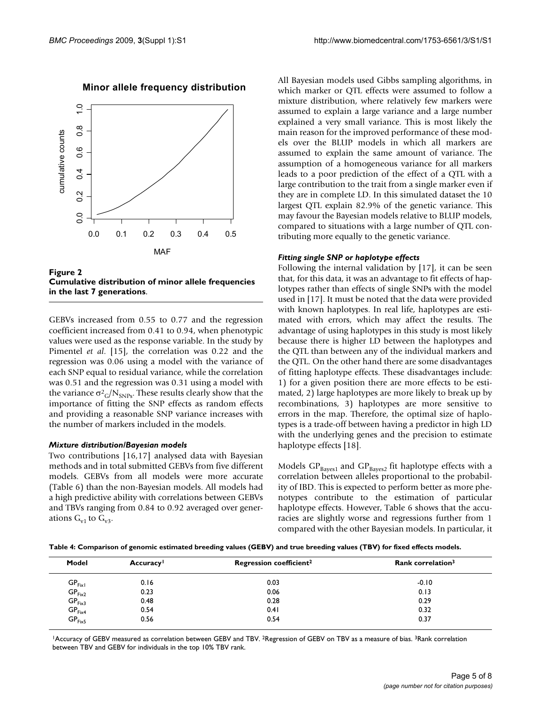

Minor allele frequency distribution

Figure 2 **Cumulative distribution of minor allele frequencies in the last 7 generations**.

GEBVs increased from 0.55 to 0.77 and the regression coefficient increased from 0.41 to 0.94, when phenotypic values were used as the response variable. In the study by Pimentel *et al*. [15], the correlation was 0.22 and the regression was 0.06 using a model with the variance of each SNP equal to residual variance, while the correlation was 0.51 and the regression was 0.31 using a model with the variance  $\sigma^2$ <sub>G</sub>/N<sub>SNPs</sub>. These results clearly show that the importance of fitting the SNP effects as random effects and providing a reasonable SNP variance increases with the number of markers included in the models.

# *Mixture distribution/Bayesian models*

Two contributions [16,17] analysed data with Bayesian methods and in total submitted GEBVs from five different models. GEBVs from all models were more accurate (Table 6) than the non-Bayesian models. All models had a high predictive ability with correlations between GEBVs and TBVs ranging from 0.84 to 0.92 averaged over generations  $G_{v1}$  to  $G_{v3}$ .

All Bayesian models used Gibbs sampling algorithms, in which marker or QTL effects were assumed to follow a mixture distribution, where relatively few markers were assumed to explain a large variance and a large number explained a very small variance. This is most likely the main reason for the improved performance of these models over the BLUP models in which all markers are assumed to explain the same amount of variance. The assumption of a homogeneous variance for all markers leads to a poor prediction of the effect of a QTL with a large contribution to the trait from a single marker even if they are in complete LD. In this simulated dataset the 10 largest QTL explain 82.9% of the genetic variance. This may favour the Bayesian models relative to BLUP models, compared to situations with a large number of QTL contributing more equally to the genetic variance.

# *Fitting single SNP or haplotype effects*

Following the internal validation by [17], it can be seen that, for this data, it was an advantage to fit effects of haplotypes rather than effects of single SNPs with the model used in [17]. It must be noted that the data were provided with known haplotypes. In real life, haplotypes are estimated with errors, which may affect the results. The advantage of using haplotypes in this study is most likely because there is higher LD between the haplotypes and the QTL than between any of the individual markers and the QTL. On the other hand there are some disadvantages of fitting haplotype effects. These disadvantages include: 1) for a given position there are more effects to be estimated, 2) large haplotypes are more likely to break up by recombinations, 3) haplotypes are more sensitive to errors in the map. Therefore, the optimal size of haplotypes is a trade-off between having a predictor in high LD with the underlying genes and the precision to estimate haplotype effects [18].

Models  $GP_{Bayes1}$  and  $GP_{Bayes2}$  fit haplotype effects with a correlation between alleles proportional to the probability of IBD. This is expected to perform better as more phenotypes contribute to the estimation of particular haplotype effects. However, Table 6 shows that the accuracies are slightly worse and regressions further from 1 compared with the other Bayesian models. In particular, it

**Table 4: Comparison of genomic estimated breeding values (GEBV) and true breeding values (TBV) for fixed effects models.**

| Model              | <b>Accuracy</b> | Regression coefficient <sup>2</sup> | Rank correlation <sup>3</sup> |
|--------------------|-----------------|-------------------------------------|-------------------------------|
| GP <sub>Fix1</sub> | 0.16            | 0.03                                | $-0.10$                       |
| GP <sub>Fix2</sub> | 0.23            | 0.06                                | 0.13                          |
| GP <sub>Fix3</sub> | 0.48            | 0.28                                | 0.29                          |
| GP <sub>Fix4</sub> | 0.54            | 0.41                                | 0.32                          |
| GP <sub>Fix5</sub> | 0.56            | 0.54                                | 0.37                          |

<sup>1</sup>Accuracy of GEBV measured as correlation between GEBV and TBV. <sup>2</sup>Regression of GEBV on TBV as a measure of bias. <sup>3</sup>Rank correlation between TBV and GEBV for individuals in the top 10% TBV rank.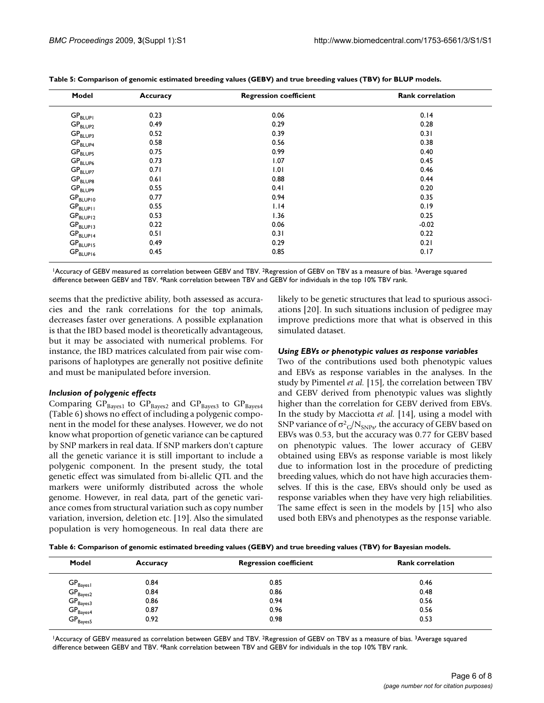| Model                           | <b>Accuracy</b> | <b>Regression coefficient</b> | <b>Rank correlation</b> |
|---------------------------------|-----------------|-------------------------------|-------------------------|
| $\mathsf{GP}_{\mathsf{BLUPI}}$  | 0.23            | 0.06                          | 0.14                    |
| $\mathsf{GP}_{\mathsf{BLUP2}}$  | 0.49            | 0.29                          | 0.28                    |
| $\text{GP}_{\text{BLUP3}}$      | 0.52            | 0.39                          | 0.31                    |
| $\mathsf{GP}_{\mathsf{BLUP4}}$  | 0.58            | 0.56                          | 0.38                    |
| $\text{GP}_{\text{BLUP5}}$      | 0.75            | 0.99                          | 0.40                    |
| $\text{GP}_{\text{BLUP6}}$      | 0.73            | 1.07                          | 0.45                    |
| $\text{GP}_{\text{BLUP7}}$      | 0.71            | 1.01                          | 0.46                    |
| $\text{GP}_{\text{BLUP8}}$      | 0.61            | 0.88                          | 0.44                    |
| $\mathsf{GP}_{\mathsf{BLUP9}}$  | 0.55            | 0.41                          | 0.20                    |
| $\mathsf{GP}_{\mathsf{BLUP10}}$ | 0.77            | 0.94                          | 0.35                    |
| $\mathsf{GP}_{\mathsf{BLUPII}}$ | 0.55            | 1.14                          | 0.19                    |
| $GP$ <sub>BLUP12</sub>          | 0.53            | 1.36                          | 0.25                    |
| $GP_{BLUP13}$                   | 0.22            | 0.06                          | $-0.02$                 |
| $\mathsf{GP}_{\mathsf{BLUP14}}$ | 0.51            | 0.31                          | 0.22                    |
| $GP_{BLUP15}$                   | 0.49            | 0.29                          | 0.21                    |
| $\mathsf{GP}_{\mathsf{BLUP16}}$ | 0.45            | 0.85                          | 0.17                    |

|  | Table 5: Comparison of genomic estimated breeding values (GEBV) and true breeding values (TBV) for BLUP models. |  |  |  |
|--|-----------------------------------------------------------------------------------------------------------------|--|--|--|
|--|-----------------------------------------------------------------------------------------------------------------|--|--|--|

1Accuracy of GEBV measured as correlation between GEBV and TBV. 2Regression of GEBV on TBV as a measure of bias. 3Average squared difference between GEBV and TBV. 4Rank correlation between TBV and GEBV for individuals in the top 10% TBV rank.

seems that the predictive ability, both assessed as accuracies and the rank correlations for the top animals, decreases faster over generations. A possible explanation is that the IBD based model is theoretically advantageous, but it may be associated with numerical problems. For instance, the IBD matrices calculated from pair wise comparisons of haplotypes are generally not positive definite and must be manipulated before inversion.

# *Inclusion of polygenic effects*

Comparing  $GP_{Bayes1}$  to  $GP_{Bayes2}$  and  $GP_{Bayes3}$  to  $GP_{Bayes4}$ (Table 6) shows no effect of including a polygenic component in the model for these analyses. However, we do not know what proportion of genetic variance can be captured by SNP markers in real data. If SNP markers don't capture all the genetic variance it is still important to include a polygenic component. In the present study, the total genetic effect was simulated from bi-allelic QTL and the markers were uniformly distributed across the whole genome. However, in real data, part of the genetic variance comes from structural variation such as copy number variation, inversion, deletion etc. [19]. Also the simulated population is very homogeneous. In real data there are likely to be genetic structures that lead to spurious associations [20]. In such situations inclusion of pedigree may improve predictions more that what is observed in this simulated dataset.

# *Using EBVs or phenotypic values as response variables*

Two of the contributions used both phenotypic values and EBVs as response variables in the analyses. In the study by Pimentel *et al.* [15], the correlation between TBV and GEBV derived from phenotypic values was slightly higher than the correlation for GEBV derived from EBVs. In the study by Macciotta *et al.* [14], using a model with SNP variance of  $\sigma^2$ <sub>G</sub>/N<sub>SNPs</sub>, the accuracy of GEBV based on EBVs was 0.53, but the accuracy was 0.77 for GEBV based on phenotypic values. The lower accuracy of GEBV obtained using EBVs as response variable is most likely due to information lost in the procedure of predicting breeding values, which do not have high accuracies themselves. If this is the case, EBVs should only be used as response variables when they have very high reliabilities. The same effect is seen in the models by [15] who also used both EBVs and phenotypes as the response variable.

**Table 6: Comparison of genomic estimated breeding values (GEBV) and true breeding values (TBV) for Bayesian models.**

| Model                          | Accuracy | <b>Regression coefficient</b> | <b>Rank correlation</b> |
|--------------------------------|----------|-------------------------------|-------------------------|
| $GP_{Bayes1}$                  | 0.84     | 0.85                          | 0.46                    |
| $GP_{Bayes2}$                  | 0.84     | 0.86                          | 0.48                    |
| $GP_{Bayes3}$                  | 0.86     | 0.94                          | 0.56                    |
|                                | 0.87     | 0.96                          | 0.56                    |
| $GP_{Bayes4}$<br>$GP_{Bayes5}$ | 0.92     | 0.98                          | 0.53                    |

1Accuracy of GEBV measured as correlation between GEBV and TBV. <sup>2</sup>Regression of GEBV on TBV as a measure of bias. <sup>3</sup>Average squared difference between GEBV and TBV. 4Rank correlation between TBV and GEBV for individuals in the top 10% TBV rank.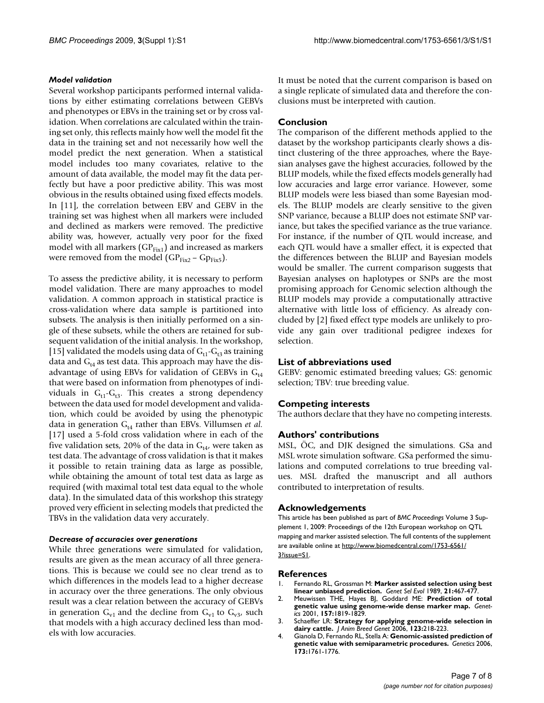## *Model validation*

Several workshop participants performed internal validations by either estimating correlations between GEBVs and phenotypes or EBVs in the training set or by cross validation. When correlations are calculated within the training set only, this reflects mainly how well the model fit the data in the training set and not necessarily how well the model predict the next generation. When a statistical model includes too many covariates, relative to the amount of data available, the model may fit the data perfectly but have a poor predictive ability. This was most obvious in the results obtained using fixed effects models. In [11], the correlation between EBV and GEBV in the training set was highest when all markers were included and declined as markers were removed. The predictive ability was, however, actually very poor for the fixed model with all markers ( $GP<sub>Fix1</sub>$ ) and increased as markers were removed from the model ( $GP<sub>Fix2</sub> - GP<sub>Fix5</sub>$ ).

To assess the predictive ability, it is necessary to perform model validation. There are many approaches to model validation. A common approach in statistical practice is cross-validation where data sample is partitioned into subsets. The analysis is then initially performed on a single of these subsets, while the others are retained for subsequent validation of the initial analysis. In the workshop, [15] validated the models using data of  $G_{t1}-G_{t3}$  as training data and  $G<sub>t4</sub>$  as test data. This approach may have the disadvantage of using EBVs for validation of GEBVs in  $G<sub>t4</sub>$ that were based on information from phenotypes of individuals in  $G_{t1}-G_{t3}$ . This creates a strong dependency between the data used for model development and validation, which could be avoided by using the phenotypic data in generation  $G_{t4}$  rather than EBVs. Villumsen *et al.* [17] used a 5-fold cross validation where in each of the five validation sets, 20% of the data in  $G_{t4}$ , were taken as test data. The advantage of cross validation is that it makes it possible to retain training data as large as possible, while obtaining the amount of total test data as large as required (with maximal total test data equal to the whole data). In the simulated data of this workshop this strategy proved very efficient in selecting models that predicted the TBVs in the validation data very accurately.

#### *Decrease of accuracies over generations*

While three generations were simulated for validation, results are given as the mean accuracy of all three generations. This is because we could see no clear trend as to which differences in the models lead to a higher decrease in accuracy over the three generations. The only obvious result was a clear relation between the accuracy of GEBVs in generation  $G_{v1}$  and the decline from  $G_{v1}$  to  $G_{v3}$ , such that models with a high accuracy declined less than models with low accuracies.

It must be noted that the current comparison is based on a single replicate of simulated data and therefore the conclusions must be interpreted with caution.

# **Conclusion**

The comparison of the different methods applied to the dataset by the workshop participants clearly shows a distinct clustering of the three approaches, where the Bayesian analyses gave the highest accuracies, followed by the BLUP models, while the fixed effects models generally had low accuracies and large error variance. However, some BLUP models were less biased than some Bayesian models. The BLUP models are clearly sensitive to the given SNP variance, because a BLUP does not estimate SNP variance, but takes the specified variance as the true variance. For instance, if the number of QTL would increase, and each QTL would have a smaller effect, it is expected that the differences between the BLUP and Bayesian models would be smaller. The current comparison suggests that Bayesian analyses on haplotypes or SNPs are the most promising approach for Genomic selection although the BLUP models may provide a computationally attractive alternative with little loss of efficiency. As already concluded by [2] fixed effect type models are unlikely to provide any gain over traditional pedigree indexes for selection.

#### **List of abbreviations used**

GEBV: genomic estimated breeding values; GS: genomic selection; TBV: true breeding value.

#### **Competing interests**

The authors declare that they have no competing interests.

#### **Authors' contributions**

MSL, ÖC, and DJK designed the simulations. GSa and MSL wrote simulation software. GSa performed the simulations and computed correlations to true breeding values. MSL drafted the manuscript and all authors contributed to interpretation of results.

#### **Acknowledgements**

This article has been published as part of *BMC Proceedings* Volume 3 Supplement 1, 2009: Proceedings of the 12th European workshop on QTL mapping and marker assisted selection. The full contents of the supplement are available online at [http://www.biomedcentral.com/1753-6561/](http://www.biomedcentral.com/1753-6561/3?issue=S1) [3?issue=S1.](http://www.biomedcentral.com/1753-6561/3?issue=S1)

#### **References**

- 1. Fernando RL, Grossman M: **Marker assisted selection using best linear unbiased prediction.** *Genet Sel Evol* 1989, **21:**467-477.
- 2. Meuwissen THE, Hayes BJ, Goddard ME: **[Prediction of total](http://www.ncbi.nlm.nih.gov/entrez/query.fcgi?cmd=Retrieve&db=PubMed&dopt=Abstract&list_uids=11290733) [genetic value using genome-wide dense marker map.](http://www.ncbi.nlm.nih.gov/entrez/query.fcgi?cmd=Retrieve&db=PubMed&dopt=Abstract&list_uids=11290733)** *Genetics* 2001, **157:**1819-1829.
- 3. Schaeffer LR: **[Strategy for applying genome-wide selection in](http://www.ncbi.nlm.nih.gov/entrez/query.fcgi?cmd=Retrieve&db=PubMed&dopt=Abstract&list_uids=16882088) [dairy cattle.](http://www.ncbi.nlm.nih.gov/entrez/query.fcgi?cmd=Retrieve&db=PubMed&dopt=Abstract&list_uids=16882088)** *J Anim Breed Genet* 2006, **123:**218-223.
- 4. Gianola D, Fernando RL, Stella A: **[Genomic-assisted prediction of](http://www.ncbi.nlm.nih.gov/entrez/query.fcgi?cmd=Retrieve&db=PubMed&dopt=Abstract&list_uids=16648593) [genetic value with semiparametric procedures.](http://www.ncbi.nlm.nih.gov/entrez/query.fcgi?cmd=Retrieve&db=PubMed&dopt=Abstract&list_uids=16648593)** *Genetics* 2006, **173:**1761-1776.